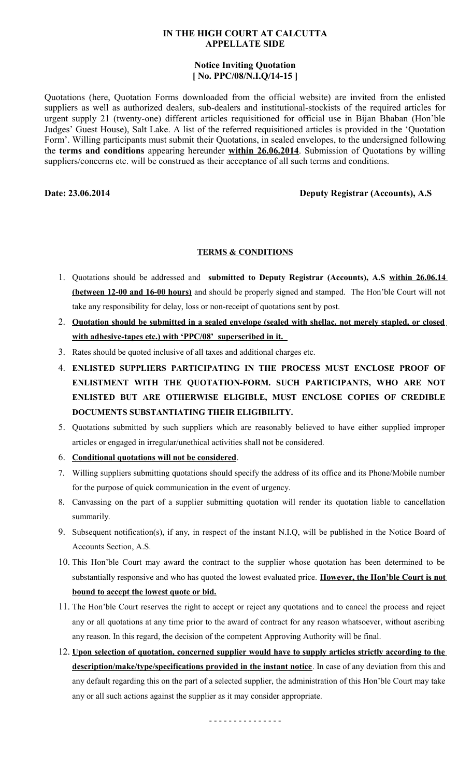#### **IN THE HIGH COURT AT CALCUTTA APPELLATE SIDE**

### **Notice Inviting Quotation [ No. PPC/08/N.I.Q/14-15 ]**

Quotations (here, Quotation Forms downloaded from the official website) are invited from the enlisted suppliers as well as authorized dealers, sub-dealers and institutional-stockists of the required articles for urgent supply 21 (twenty-one) different articles requisitioned for official use in Bijan Bhaban (Hon'ble Judges' Guest House), Salt Lake. A list of the referred requisitioned articles is provided in the 'Quotation Form'. Willing participants must submit their Quotations, in sealed envelopes, to the undersigned following the **terms and conditions** appearing hereunder **within 26.06.2014**. Submission of Quotations by willing suppliers/concerns etc. will be construed as their acceptance of all such terms and conditions.

## **Date: 23.06.2014 Deputy Registrar (Accounts), A.S**

# **TERMS & CONDITIONS**

- 1. Quotations should be addressed and **submitted to Deputy Registrar (Accounts), A.S within 26.06.14 (between 12-00 and 16-00 hours)** and should be properly signed and stamped. The Hon'ble Court will not take any responsibility for delay, loss or non-receipt of quotations sent by post.
- 2. **Quotation should be submitted in a sealed envelope (sealed with shellac, not merely stapled, or closed with adhesive-tapes etc.) with 'PPC/08' superscribed in it.**
- 3. Rates should be quoted inclusive of all taxes and additional charges etc.
- 4. **ENLISTED SUPPLIERS PARTICIPATING IN THE PROCESS MUST ENCLOSE PROOF OF ENLISTMENT WITH THE QUOTATION-FORM. SUCH PARTICIPANTS, WHO ARE NOT ENLISTED BUT ARE OTHERWISE ELIGIBLE, MUST ENCLOSE COPIES OF CREDIBLE DOCUMENTS SUBSTANTIATING THEIR ELIGIBILITY.**
- 5. Quotations submitted by such suppliers which are reasonably believed to have either supplied improper articles or engaged in irregular/unethical activities shall not be considered.
- 6. **Conditional quotations will not be considered**.
- 7. Willing suppliers submitting quotations should specify the address of its office and its Phone/Mobile number for the purpose of quick communication in the event of urgency.
- 8. Canvassing on the part of a supplier submitting quotation will render its quotation liable to cancellation summarily.
- 9. Subsequent notification(s), if any, in respect of the instant N.I.Q, will be published in the Notice Board of Accounts Section, A.S.
- 10. This Hon'ble Court may award the contract to the supplier whose quotation has been determined to be substantially responsive and who has quoted the lowest evaluated price. **However, the Hon'ble Court is not bound to accept the lowest quote or bid.**
- 11. The Hon'ble Court reserves the right to accept or reject any quotations and to cancel the process and reject any or all quotations at any time prior to the award of contract for any reason whatsoever, without ascribing any reason. In this regard, the decision of the competent Approving Authority will be final.
- 12. **Upon selection of quotation, concerned supplier would have to supply articles strictly according to the description/make/type/specifications provided in the instant notice**. In case of any deviation from this and any default regarding this on the part of a selected supplier, the administration of this Hon'ble Court may take any or all such actions against the supplier as it may consider appropriate.

- - - - - - - - - - - - - - -